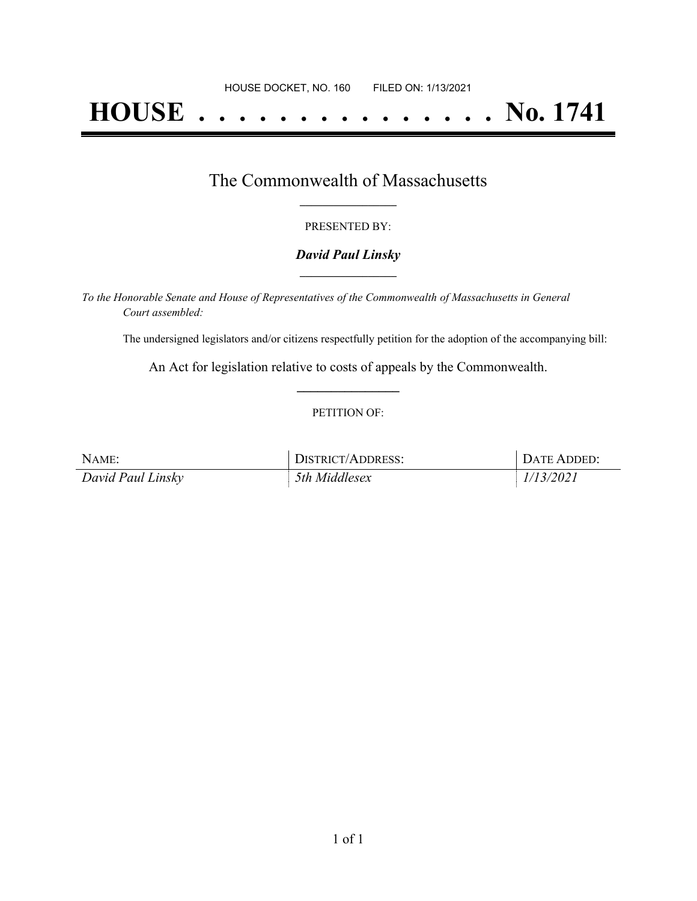# **HOUSE . . . . . . . . . . . . . . . No. 1741**

## The Commonwealth of Massachusetts **\_\_\_\_\_\_\_\_\_\_\_\_\_\_\_\_\_**

#### PRESENTED BY:

#### *David Paul Linsky* **\_\_\_\_\_\_\_\_\_\_\_\_\_\_\_\_\_**

*To the Honorable Senate and House of Representatives of the Commonwealth of Massachusetts in General Court assembled:*

The undersigned legislators and/or citizens respectfully petition for the adoption of the accompanying bill:

An Act for legislation relative to costs of appeals by the Commonwealth. **\_\_\_\_\_\_\_\_\_\_\_\_\_\_\_**

#### PETITION OF:

| NAME:             | <b>DISTRICT/ADDRESS:</b> | DATE ADDED: |
|-------------------|--------------------------|-------------|
| David Paul Linsky | 5th Middlesex            | 1/13/2021   |